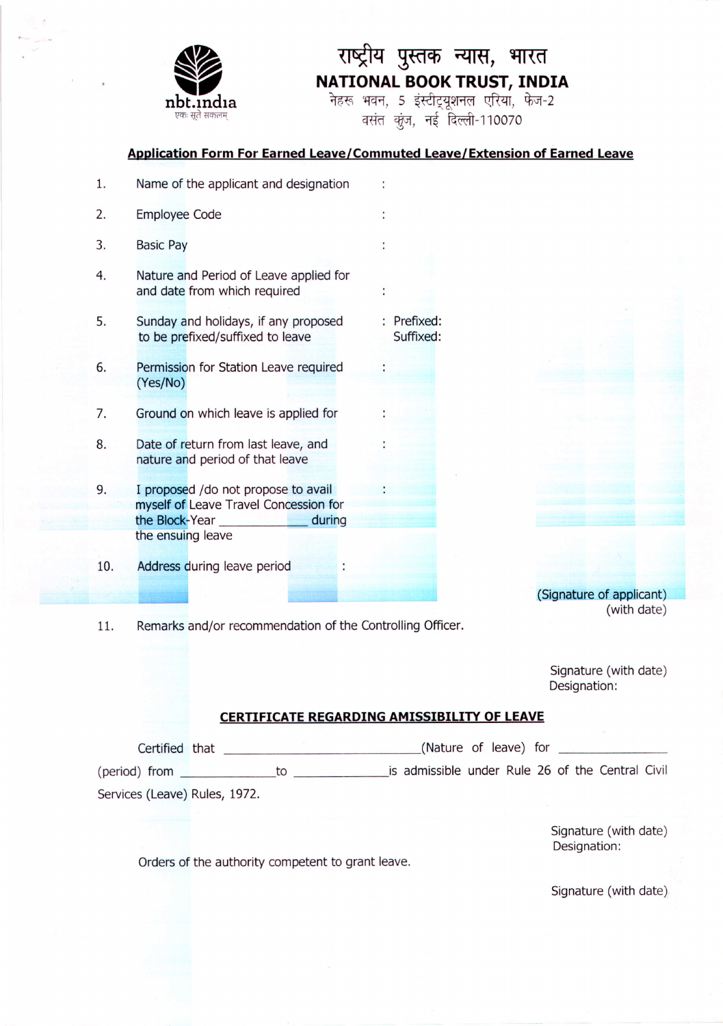

# राष्ट्रीय पुस्तक न्यास, भारत **NATIONAL BOOK TRUST, INDIA**

नेहरू भवन, 5 इंस्टीट्यूशनल एरिया, फेज-2 वसंत कूंज, नई दिल्ली-110070

## **Application Form For Earned Leave/Commuted Leave/Extension of Earned Leave**

| 1.  | Name of the applicant and designation                                                                                          |                          |
|-----|--------------------------------------------------------------------------------------------------------------------------------|--------------------------|
| 2.  | <b>Employee Code</b>                                                                                                           |                          |
| 3.  | <b>Basic Pay</b>                                                                                                               |                          |
| 4.  | Nature and Period of Leave applied for<br>and date from which required                                                         |                          |
| 5.  | Sunday and holidays, if any proposed<br>to be prefixed/suffixed to leave                                                       | : Prefixed:<br>Suffixed: |
| 6.  | Permission for Station Leave required<br>(Yes/No)                                                                              |                          |
| 7.  | Ground on which leave is applied for                                                                                           |                          |
| 8.  | Date of return from last leave, and<br>nature and period of that leave                                                         |                          |
| 9.  | I proposed / do not propose to avail<br>myself of Leave Travel Concession for<br>during<br>the Block-Year<br>the ensuing leave |                          |
| 10. | Address during leave period                                                                                                    |                          |

(Signature of applicant) (with date)

11. Remarks and/or recommendation of the Controlling Officer.

Signature (with date) Designation:

# **CERTIFICATE REGARDING AMISSIBILITY OF LEAVE**

| Certified that                |    | (Nature of leave) for                            |  |  |  |  |
|-------------------------------|----|--------------------------------------------------|--|--|--|--|
| (period) from                 | TΟ | is admissible under Rule 26 of the Central Civil |  |  |  |  |
| Services (Leave) Rules, 1972. |    |                                                  |  |  |  |  |

Signature (with date) Designation:

Orders of the authority competent to grant leave.

Signature (with date)